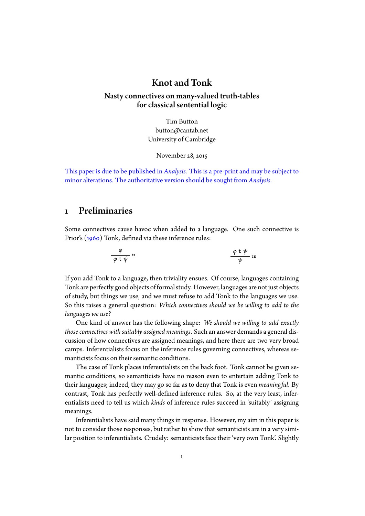## Knot and Tonk

#### Nasty connectives on many-valued truth-tables for classical sentential logic

Tim Button button@cantab.net University of Cambridge

November 28, 2015

This paper is due to be published in *Analysis*. This is a pre-print and may be subject to minor alterations. The authoritative version should be sought from *Analysis*.

### 1 Preliminaries

 $\overline{a}$ 

<span id="page-0-0"></span>Some connectives cause havoc when added to a language. One such connective is Prior's (1960) Tonk, defined via these inference rules:

$$
\frac{\varphi}{\varphi \ t \ \psi} \ \text{tr}
$$

If you add Tonk to a language, then triviality ensues. Of course, languages containing Tonk are perfectly good objects of formal study. However, languages are not just objects of study, but things we use, and we must refuse to add Tonk to the languages we use. So this raises a general question: *Which connectives should we be willing to add to the languages we use?*

One kind of answer has the following shape: *We should we willing to add exactly those connectives with suitably assigned meanings*. Such an answer demands a general discussion of how connectives are assigned meanings, and here there are two very broad camps. Inferentialists focus on the inference rules governing connectives, whereas semanticists focus on their semantic conditions.

The case of Tonk places inferentialists on the back foot. Tonk cannot be given semantic conditions, so semanticists have no reason even to entertain adding Tonk to their languages; indeed, they may go so far as to deny that Tonk is even *meaningful*. By contrast, Tonk has perfectly well-defined inference rules. So, at the very least, inferentialists need to tell us which *kinds* of inference rules succeed in 'suitably' assigning meanings.

Inferentialists have said many things in response. However, my aim in this paper is not to consider those responses, but rather to show that semanticists are in a very similar position to inferentialists. Crudely: semanticists face their 'very own Tonk'. Slightly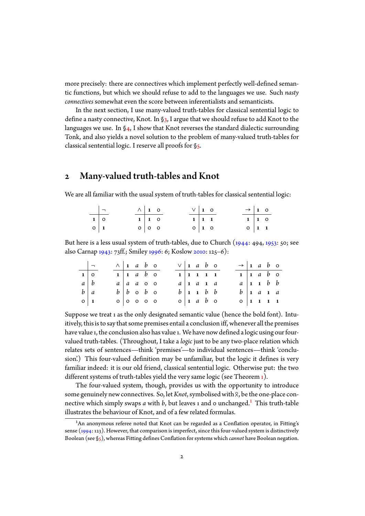more precisely: there are connectives which implement perfectly well-defined semantic functions, but which we should refuse to add to the languages we use. Such *nasty connectives* somewhat even the score between inferentialists and semanticists.

In the next section, I use many-valued truth-tables for classical sentential logic to define a nasty connective, Knot. In  $\S$ <sub>3</sub>, I argue that we should refuse to add Knot to the languages we use. In §4, I show that Knot reverses the standard dialectic surrounding Tonk, and also yields a novel solution to the problem of many-valued truth-tables for classical sentential logic. I reserve all [p](#page-2-0)roofs for §5.

# 2 Many-valued truth-tables and [K](#page-5-0)not

<span id="page-1-1"></span>We are all familiar with the usual system of truth-tables for classical sentential logic:

|               | $\vert - \vert$ | $\wedge$ 1 0 |                             | $V\vert I$ 0      |                   | $\rightarrow$ 1 0 |  |
|---------------|-----------------|--------------|-----------------------------|-------------------|-------------------|-------------------|--|
| $\boxed{1}$ 0 |                 |              | $1 \mid 1 \mid 0$           | $1 \mid 1 \mid 1$ |                   | $1 \mid 1 \mid 0$ |  |
| $\circ$ 1     |                 |              | $\circ$   $\circ$   $\circ$ |                   | $0 \mid 1 \mid 0$ | $0 \mid 1 \mid 1$ |  |

But here is a less usual system of truth-tables, due to Church (1944: 494, 1953: 50; see also Carnap 1943: 73ff.; Smiley 1996: 6; Koslow 2010: 125–6):

|            | $\Box$               | $\wedge$ 1 a b o |                                     |  |  | $\vee$ 1 a b o |  |                                    |  | $\rightarrow$ 1 a b o           |  |                                    |  |
|------------|----------------------|------------------|-------------------------------------|--|--|----------------|--|------------------------------------|--|---------------------------------|--|------------------------------------|--|
|            | $\overline{1\mid o}$ |                  | $1 \vert 1 \vert a \vert b \vert o$ |  |  |                |  | $1 \mid 1 \mid 1 \mid 1 \mid 1$    |  |                                 |  | $1 \mid 1 \quad a \quad b \quad o$ |  |
| $a \mid b$ |                      |                  | $a \mid a$ a o o                    |  |  |                |  | $a \mid 1 \quad a \quad 1 \quad a$ |  | $a \mid 1 \mid 1 \mid b \mid b$ |  |                                    |  |
|            | $b \mid a$           |                  | $b \mid b$ o $b$ o                  |  |  |                |  | $b \mid 1 \mid 1 \mid b \mid b$    |  |                                 |  | $b \mid a \mid a$                  |  |
|            | $\circ$ 1            | 0 0 0 0 0        |                                     |  |  |                |  | $o \mid a \mid b \mid o$           |  | $0 \mid 1 \mid 1 \mid 1 \mid 1$ |  |                                    |  |

Suppose we treat 1 as the only designated semantic value (hence the bold font). Intuitively, this is to say that some premises entail a conclusion iff, whenever all the premises have value 1, the conclusion also has value 1. We have now defined a logic using our fourvalued truth-tables. (Throughout, I take a *logic* just to be any two-place relation which relates sets of sentences—think 'premises'—to individual sentences—think 'conclusion'.) This four-valued definition may be unfamiliar, but the logic it defines is very familiar indeed: it is our old friend, classical sentential logic. Otherwise put: the two different systems of truth-tables yield the very same logic (see Theorem  $_1$ ).

The four-valued system, though, provides us with the opportunity to introduce some genuinely new connectives. So, let *Knot*, symbolised with  $\beta$ , be the one-place connective w[hi](#page-7-0)ch simply swaps  $a$  with  $b$ , but leaves 1 and 0 unchanged.<sup>1</sup> This truth-table illustrates the behaviour of Knot, and of a few related formulas.

<span id="page-1-0"></span><sup>&</sup>lt;sup>1</sup>An anonymous referee noted that Knot can be regarded as a Conflation operator, in Fitting's sense (1994: 123). However, that comparison is imperfect, since this four-valued [sy](#page-1-0)stem is distinctively Boolean (see §5), whereas Fitting defines Conflation for systems which *cannot* have Boolean negation.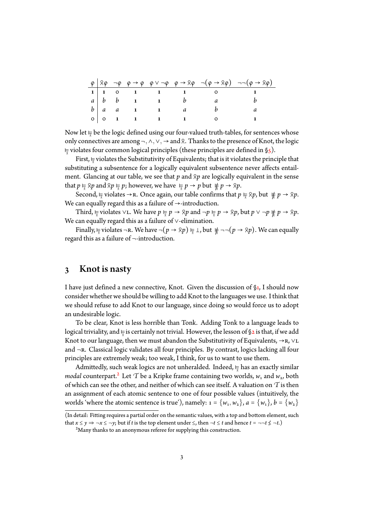|                   |  |                                                              |   | $\rho$ $g \circ \varphi \to \varphi \circ \varphi \lor \neg \varphi \circ g \to g \varphi \circ \neg (\varphi \to g \varphi) \neg \neg (\varphi \to g \varphi)$ |
|-------------------|--|--------------------------------------------------------------|---|-----------------------------------------------------------------------------------------------------------------------------------------------------------------|
|                   |  |                                                              |   |                                                                                                                                                                 |
| $a \mid b \mid b$ |  | $\mathbf{1}$ $\mathbf{1}$ $\mathbf{1}$                       | a |                                                                                                                                                                 |
| $b \mid a \mid a$ |  | $1 \quad 1 \quad a$                                          |   |                                                                                                                                                                 |
|                   |  | $\begin{array}{ccccccc}\n0 & 0 & 1 & 1 & 1 & 1\n\end{array}$ |   |                                                                                                                                                                 |

Now let  $\frac{1}{\lambda}$  be the logic defined using our four-valued truth-tables, for sentences whose only connectives are among <sup>¬</sup>*,*∧*,*∨*,* <sup>→</sup> and . Thanks to the presence of Knot, the logic ⊧ violates four common logical principles (these principles are defined in §5).

First,  $\frac{1}{\overline{8}}$  violates the Substitutivity of Equivalents; that is it violates the principle that substituting a subsentence for a logically equivalent subsentence never affects entailment.Gla[n](#page-5-0)cing at our table, we see that  $p$  and  $p$  are logically equivalent in the sense that  $p \vDash p$  and  $p \vDash p$ ; however, we have  $\vDash p \rightarrow p$  but  $\nvdash p \rightarrow p$ .

Second,  $\frac{1}{\kappa}$  violates →R. Once again, our table confirms that  $p \frac{1}{\kappa} \otimes p$ , but  $\frac{1}{\kappa} p \to \otimes p$ . We can equally regard this as a failure of  $\rightarrow$ -introduction.

Third,  $\frac{1}{\beta}$  violates ∨L. We have  $p \frac{1}{\beta} p \rightarrow \beta p$  and  $\neg p \frac{1}{\beta} p \rightarrow \beta p$ , but  $p \vee \neg p \not\notin p \rightarrow \beta p$ . We can equally regard this as a failure of ∨-elimination.

Finally,  $\frac{1}{8}$  violates ¬R. We have  $\neg (p \rightarrow 8p) \stackrel{1}{\underset{8}{\rightleftharpoons}} \perp$ , but  $\not\equiv \neg (p \rightarrow 8p)$ . We can equally regard this as a failure of ¬-introduction.

### 3 Knot is nasty

<span id="page-2-0"></span>I have just defined a new connective, Knot. Given the discussion of  $\S$ 1, I should now consider whether we should be willing to add Knot to the languages we use. I think that we should refuse to add Knot to our language, since doing so would force us to adopt an undesirable logic.

To be clear, Knot is less horrible than Tonk. Adding Tonk to a la[n](#page-0-0)guage leads to logical triviality, and <del>に</del> is certainly not trivial. However, the lesson of §2 is that, if we add<br>--Knot to our language, then we must abandon the Substitutivity of Equivalents,  $\rightarrow$  R,  $\vee$ L and  $\neg$ r. Classical logic validates all four principles. By contrast, logics lacking all four principles are extremely weak; too weak, I think, for us to want to us[e t](#page-1-1)hem.

Admittedly, such weak logics are not unheralded. Indeed, ⊨ has an exactly similar<br>. *modal* counterpart. $^2$  Let  $\mathcal T$  be a Kripke frame containing two worlds,  $w_{\scriptscriptstyle 1}$  and  $w_{\scriptscriptstyle 2}$ , both of which can see the other, and neither of which can see itself. A valuation on *T* is then an assignment of each atomic sentence to one of four possible values (intuitively, the worlds 'where the [at](#page-2-1)omic sentence is true'), namely:  $1 = \{w_1, w_2\}$ ,  $a = \{w_1\}$ ,  $b = \{w_2\}$ 

<sup>(</sup>In detail: Fitting requires a partial order on the semantic values, with a top and bottom element, such that  $x \le y \Rightarrow \neg x \le \neg y$ ; but if *t* is the top element under  $\le$ , then  $\neg t \le t$  and hence  $t = \neg \neg t \le \neg t$ .)

<span id="page-2-1"></span><sup>&</sup>lt;sup>2</sup>Many thanks to an anonymous referee for supplying this construction.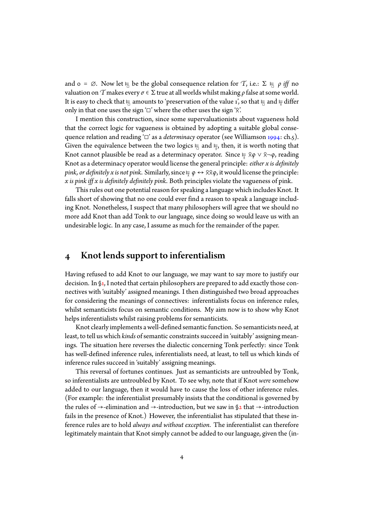and  $o = \emptyset$ . Now let  $\frac{1}{\Box}$  be the global consequence relation for *T*, i.e.:  $\Sigma \vDash \rho$  *iff* no valuation on*T*makes every *σ* ∈ Σ true at all worlds whilst making *ρ* false at some world. It is easy to check that  $\frac{1}{\Box}$  amounts to 'preservation of the value 1', so that  $\frac{1}{\Box}$  and  $\frac{1}{\overline{8}}$  differ only in that one uses the sign ' $\square$ ' where the other uses the sign ' $\aleph$ '.

I mention this construction, since some supervaluationists about vagueness hold that the correct logic for vagueness is obtained by adopting a suitable global consequence relation and reading '□' as a *determinacy* operator (see Williamson 1994: ch.5). Given the equivalence between the two logics  $\frac{1}{\Box}$  and  $\frac{1}{\partial}$ , then, it is worth noting that Knot cannot plausible be read as a determinacy operator. Since  $\frac{1}{2}$  8φ ∨ 8¬φ, reading Knot as a determinacy operator would license the general principle: *either [x is de](#page-11-4)finitely pink, or definitely x is not pink*. Similarly, since  $\frac{1}{2} \varphi \leftrightarrow 88 \varphi$ , it would license the principle: *x is pink iff x is definitely definitely pink*. Both principles violate the vagueness of pink.

This rules out one potential reason for speaking a language which includes Knot. It falls short of showing that no one could ever find a reason to speak a language including Knot. Nonetheless, I suspect that many philosophers will agree that we should no more add Knot than add Tonk to our language, since doing so would leave us with an undesirable logic. In any case, I assume as much for the remainder of the paper.

## 4 Knot lends support to inferentialism

Having refused to add Knot to our language, we may want to say more to justify our decision. In §1, I noted that certain philosophers are prepared to add exactly those connectives with 'suitably' assigned meanings. I then distinguished two broad approaches for considering the meanings of connectives: inferentialists focus on inference rules, whilst seman[ti](#page-0-0)cists focus on semantic conditions. My aim now is to show why Knot helps inferentialists whilst raising problems for semanticists.

Knot clearly implements a well-defined semantic function. So semanticists need, at least, to tell us which *kinds* of semantic constraints succeed in 'suitably' assigning meanings. The situation here reverses the dialectic concerning Tonk perfectly: since Tonk has well-defined inference rules, inferentialists need, at least, to tell us which kinds of inference rules succeed in 'suitably' assigning meanings.

This reversal of fortunes continues. Just as semanticists are untroubled by Tonk, so inferentialists are untroubled by Knot. To see why, note that if Knot *were* somehow added to our language, then it would have to cause the loss of other inference rules. (For example: the inferentialist presumably insists that the conditional is governed by the rules of  $\rightarrow$ -elimination and  $\rightarrow$ -introduction, but we saw in §2 that  $\rightarrow$ -introduction fails in the presence of Knot.) However, the inferentialist has stipulated that these inference rules are to hold *always and without exception*. The inferentialist can therefore legitimately maintain that Knot simply cannot be added to our l[an](#page-1-1)guage, given the (in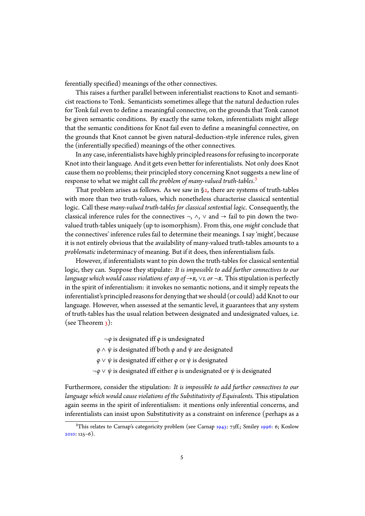ferentially specified) meanings of the other connectives.

This raises a further parallel between inferentialist reactions to Knot and semanticist reactions to Tonk. Semanticists sometimes allege that the natural deduction rules for Tonk fail even to define a meaningful connective, on the grounds that Tonk cannot be given semantic conditions. By exactly the same token, inferentialists might allege that the semantic conditions for Knot fail even to define a meaningful connective, on the grounds that Knot cannot be given natural-deduction-style inference rules, given the (inferentially specified) meanings of the other connectives.

In any case, inferentialists have highly principled reasons for refusing to incorporate Knot into their language. And it gets even better for inferentialists. Not only does Knot cause them no problems; their principled story concerning Knot suggests a new line of response to what we might call *the problem of many-valued truth-tables*.³

That problem arises as follows. As we saw in  $\S$ 2, there are systems of truth-tables with more than two truth-values, which nonetheless characterise classical sentential logic. Call these *many-valued truth-tables for classical sentential logic*. C[on](#page-4-0)sequently, the classical inference rules for the connectives  $\neg$ ,  $\wedge$ ,  $\vee$  and  $\rightarrow$  fail to pin down the twovalued truth-tables uniquely (up to isomorphism). [F](#page-1-1)rom this, one *might* conclude that the connectives' inference rules fail to determine their meanings. I say 'might', because it is not entirely obvious that the availability of many-valued truth-tables amounts to a *problematic* indeterminacy of meaning. But if it does, then inferentialism fails.

However, if inferentialists want to pin down the truth-tables for classical sentential logic, they can. Suppose they stipulate: *It is impossible to add further connectives to our language which would cause violations of any of*  $\rightarrow$ *r,*  $\vee$ *l or*  $\neg$ *r.* This stipulation is perfectly in the spirit of inferentialism: it invokes no semantic notions, and it simply repeats the inferentialist's principled reasons for denying that we should (or could) add Knot to our language. However, when assessed at the semantic level, it guarantees that any system of truth-tables has the usual relation between designated and undesignated values, i.e. (see Theorem  $3$ ):

¬*φ* is designated iff *φ* is undesignated

*φ* ∧ *ψ* is designated iff both *φ* and *ψ* are designated

*φ* [∨](#page-9-0) *ψ* is designated iff either *φ* or *ψ* is designated

¬*φ* ∨ *ψ* is designated iff either *φ* is undesignated or *ψ* is designated

Furthermore, consider the stipulation: *It is impossible to add further connectives to our language which would cause violations of the Substitutivity of Equivalents.* This stipulation again seems in the spirit of inferentialism: it mentions only inferential concerns, and inferentialists can insist upon Substitutivity as a constraint on inference (perhaps as a

<span id="page-4-0"></span><sup>&</sup>lt;sup>3</sup>This relates to Carnap's categoricity problem (see Carnap 1943: 73ff.; Smiley 1996: 6; Koslow 2010: 125–6).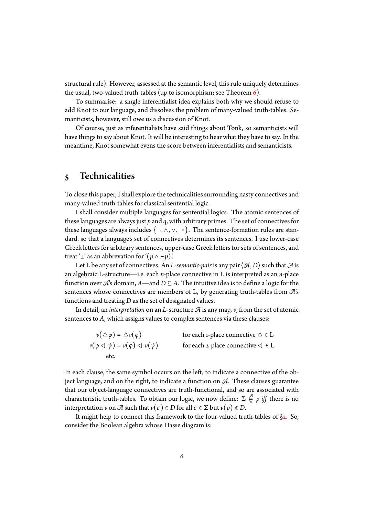structural rule). However, assessed at the semantic level, this rule uniquely determines the usual, two-valued truth-tables (up to isomorphism; see Theorem  $6$ ).

To summarise: a single inferentialist idea explains both why we should refuse to add Knot to our language, and dissolves the problem of many-valued truth-tables. Semanticists, however, still owe us a discussion of Knot.

Of course, just as inferentialists have said things about Tonk, so [se](#page-10-0)manticists will have things to say about Knot. It will be interesting to hear what they have to say. In the meantime, Knot somewhat evens the score between inferentialists and semanticists.

# 5 Technicalities

<span id="page-5-0"></span>To close this paper, I shall explore the technicalities surrounding nasty connectives and many-valued truth-tables for classical sentential logic.

I shall consider multiple languages for sentential logics. The atomic sentences of these languages are always just *p* and *q*, with arbitrary primes. The set of connectives for these languages always includes  $\{\neg, \wedge, \vee, \rightarrow\}$ . The sentence-formation rules are standard, so that a language's set of connectives determines its sentences. I use lower-case Greek letters for arbitrary sentences, upper-case Greek letters for sets of sentences, and treat ' $\perp$ ' as an abbrevation for ' $(p \land \neg p)$ '.

Let L be any set of connectives. An *L*-semantic-pair is any pair  $\langle A, D \rangle$  such that  $\mathcal A$  is an algebraic L-structure—i.e. each *n*-place connective in L is interpreted as an *n*-place function over  $\mathcal{A}$ 's domain,  $A$ —and  $D \subseteq A$ . The intuitive idea is to define a logic for the sentences whose connectives are members of L, by generating truth-tables from *A*'s functions and treating *D* as the set of designated values.

In detail, an *interpretation* on an *L*-structure *A* is any map,*v*, from the set of atomic sentences to *A*, which assigns values to complex sentences via these clauses:

| $\nu(\Delta\varphi) = \Delta\nu(\varphi)$                                | for each 1-place connective $\triangle \in L$     |
|--------------------------------------------------------------------------|---------------------------------------------------|
| $\nu(\varphi \triangleleft \psi) = \nu(\varphi) \triangleleft \nu(\psi)$ | for each 2-place connective $\triangleleft \in L$ |
| etc.                                                                     |                                                   |

In each clause, the same symbol occurs on the left, to indicate a connective of the object language, and on the right, to indicate a function on *A*. These clauses guarantee that our object-language connectives are truth-functional, and so are associated with characteristic truth-tables. To obtain our logic, we now define:  $\Sigma$   $\frac{A}{b}$ *D ρ iff* there is no interpretation *v* on  $\mathcal A$  such that  $\nu(\sigma) \in D$  for all  $\sigma \in \Sigma$  but  $\nu(\rho) \notin D$ .

It might help to connect this framework to the four-valued truth-tables of §2. So, consider the Boolean algebra whose Hasse diagram is: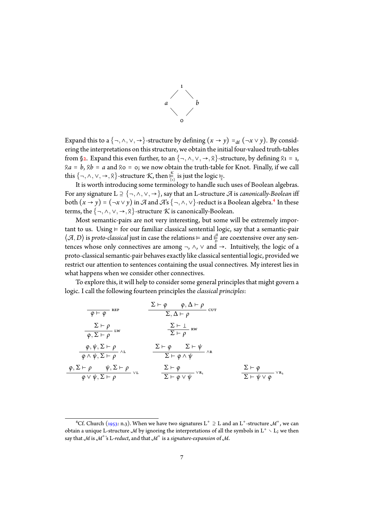

Expand this to a  $\{\neg, \wedge, \vee, \rightarrow\}$ -structure by defining  $(x \rightarrow y) =_{df} (\neg x \vee y)$ . By considering the interpretations on this structure, we obtain the initial four-valued truth-tables from §2. Expand this even further, to an  $\{\neg, \wedge, \vee, \rightarrow, \wedge\}$ -structure, by defining  $\wedge_1 = 1$ ,  $a = b$ ,  $a = a$  and  $a = b$ ; we now obtain the truth-table for Knot. Finally, if we call this  $\{\neg, \wedge, \vee, \rightarrow, \wedge\}$ -structure *K*, then  $\frac{\kappa}{\{i\}}$  is just the logic  $\frac{1}{\overline{\chi}}$ .

{1} Iti[s](#page-1-1) worth introducing some terminology to handle such uses of Boolean algebras. For any signature L <sup>⊇</sup> {¬*,*∧*,*∨*,* →}, say that an L-structure *<sup>A</sup>* is *canonically-Boolean* iff both  $(x \to y) = (\neg x \lor y)$  in  $\mathcal A$  and  $\mathcal A$ 's  $\{\neg, \wedge, \vee\}$ -reduct is a Boolean algebra.<sup>4</sup> In these terms, the  $\{\neg, \land, \lor, \rightarrow, \land\}$ -structure *K* is canonically-Boolean.

Most semantic-pairs are not very interesting, but some will be extremely import[a](#page-6-0)nt to us. Using  $\vDash$  for our familiar classical sentential logic, say that a semantic-pair  $\langle A, D \rangle$  is *proto-classical* just in case the relations ⊨ and  $\frac{A}{P}$  $\frac{a}{D}$  are coextensive over any sentences whose only connectives are among  $\neg$ ,  $\wedge$ ,  $\vee$  and  $\rightarrow$ . Intuitively, the logic of a proto-classical semantic-pair behaves exactly like classical sentential logic, provided we restrict our attention to sentences containing the usual connectives. My interest lies in what happens when we consider other connectives.

To explore this, it will help to consider some general principles that might govern a logic. I call the following fourteen principles the *classical principles*:

$$
\frac{\Sigma \vdash \varphi \qquad \varphi, \Delta \vdash \rho}{\varphi \vdash \varphi} \text{ iff } \frac{\Sigma \vdash \varphi \qquad \varphi, \Delta \vdash \rho}{\Sigma, \Delta \vdash \rho} \text{ iff } \frac{\Sigma \vdash \varphi}{\varphi, \Sigma \vdash \rho} \text{ iff } \frac{\Sigma \vdash \bot}{\Sigma \vdash \rho} \text{ iff } \frac{\Sigma \vdash \bot}{\Sigma \vdash \rho} \text{ iff } \frac{\varphi, \psi, \Sigma \vdash \rho}{\varphi \land \psi, \Sigma \vdash \rho} \land \bot \qquad \frac{\Sigma \vdash \varphi}{\Sigma \vdash \varphi \land \psi} \land \mathbb{R}
$$
\n
$$
\frac{\varphi, \Sigma \vdash \rho \qquad \psi, \Sigma \vdash \rho}{\varphi \lor \psi, \Sigma \vdash \rho} \lor \mathbf{L} \qquad \frac{\Sigma \vdash \varphi}{\Sigma \vdash \varphi \lor \psi} \lor \mathbf{R_1} \qquad \frac{\Sigma \vdash \varphi}{\Sigma \vdash \psi \lor \varphi} \lor \mathbf{R_2}
$$

<span id="page-6-0"></span><sup>&</sup>lt;sup>4</sup>Cf. Church (1953: n.3). When we have two signatures L<sup>+</sup> ⊇ L and an L<sup>+</sup>-structure M<sup>+</sup>, we can obtain a unique L-structure *M* by ignoring the interpretations of all the symbols in  $L^+ \setminus L$ ; we then say that *M* is *M*<sup>+</sup> 's L-*reduct*, and that *M*<sup>+</sup> is a *signature-expansion* of *M*.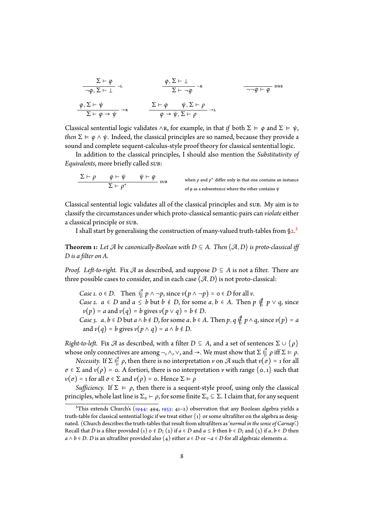$$
\frac{\Sigma \vdash \varphi}{\neg \varphi, \Sigma \vdash \bot} \neg L\n\qquad\n\frac{\varphi, \Sigma \vdash \bot}{\Sigma \vdash \neg \varphi} \neg R\n\qquad\n\frac{\varphi, \Sigma \vdash \bot}{\neg \neg \varphi \vdash \varphi} \text{dne}
$$
\n
$$
\frac{\varphi, \Sigma \vdash \bot}{\Sigma \vdash \varphi \rightarrow \psi} \rightarrow R\n\qquad\n\frac{\Sigma \vdash \varphi \qquad \psi, \Sigma \vdash \rho}{\varphi \rightarrow \psi, \Sigma \vdash \rho} \rightarrow L
$$

Classical sentential logic validates  $\wedge$ R, for example, in that *if* both  $\Sigma \models \varphi$  and  $\Sigma \models \psi$ , *then*  $\Sigma \vDash \varphi \land \psi$ . Indeed, the classical principles are so named, because they provide a sound and complete sequent-calculus-style proof theory for classical sentential logic.

In addition to the classical principles, I should also mention the *Substitutivity of Equivalents*, more briefly called *sub*:

$$
\frac{\Sigma \vdash \rho \qquad \varphi \vdash \psi \qquad \psi \vdash \phi}{\Sigma \vdash \rho^*}
$$
   
 
$$
\frac{\Sigma \vdash \rho \qquad \psi \vdash \psi \qquad \text{with } \rho \text{ and } \rho^* \text{ differ only in that one contains an instance}
$$

Classical sentential logic validates all of the classical principles and sub. My aim is to classify the circumstances under which proto-classical semantic-pairs can *violate* either a classical principle or sub.

I shall start by generalising the construction of many-valued truth-tables from  $\S_2$ <sup>5</sup>.

**Theorem 1:** Let  $\mathcal A$  be canonically-Boolean with  $D \subseteq A$ . Then  $\langle \mathcal A, D \rangle$  is proto-classical iff *D is a filter on A.*

<span id="page-7-0"></span>*Proof.* Left-to-right. Fix  $\mathcal A$  as described, and suppose  $D \subseteq A$  is not a filter. There are three possible cases to consider, and in each case  $\langle A, D \rangle$  is not proto-classical:

*Case 1.*  $o \in D$ . Then  $\frac{a}{b} p \land \neg p$ , since  $v(p \land \neg p) = o \in D$  for all  $v$ . *Case 2.*  $a \in D$  and  $a \leq b$  but  $b \notin D$ , for some  $a, b \in A$ . Then  $p \nmid_{D}^{\mathcal{A}}$ *D p* ∨ *q*, since  $\nu(p) = a$  and  $\nu(q) = b$  gives  $\nu(p \vee q) = b \notin D$ . *Case 3. a*, *b* ∈ *D* but *a*  $\land$  *b* ∉ *D*, for some *a*, *b* ∈ *A*. Then *p*, *q*  $\frac{d}{b}$  $\frac{q}{b}$  *p*  $\wedge$  *q*, since *v*(*p*) = *a* and  $\nu(q) = b$  gives  $\nu(p \wedge q) = a \wedge b \notin D$ .

*Right-to-left.* Fix  $\mathcal A$  as described, with a filter  $D \subseteq A$ , and a set of sentences  $\Sigma \cup \{\rho\}$ whose only connectives are among  $\neg$ ,  $\wedge$ ,  $\vee$ , and  $\rightarrow$ . We must show that  $\Sigma$   $\frac{A}{\overline{D}}$  $\sum_{D}^{\infty}$  *ρ* iff  $\Sigma \models \rho$ .

 $N$ *ecessity.* If  $\Sigma$   $\frac{\mathscr{A}}{\overline{D}}$  $\frac{dP}{dD}$  *ρ*, then there is no interpretation *v* on *A* such that *v*(*σ*) = 1 for all  $\sigma \in \Sigma$  and  $\nu(\rho) = \sigma$ . A fortiori, there is no interpretation  $\nu$  with range  $\{\sigma, 1\}$  such that  $\nu(\sigma) = 1$  for all  $\sigma \in \Sigma$  and  $\nu(\rho) = 0$ . Hence  $\Sigma \models \rho$ 

*Sufficiency.* If  $\Sigma \models \rho$ , then there is a sequent-style proof, using only the classical principles, whole last line is  $\Sigma_{\text{o}} \vdash \rho$ , for some finite  $\Sigma_{\text{o}} \subseteq \Sigma$ . I claim that, for any sequent

<sup>&</sup>lt;sup>5</sup>This extends Church's (1944: 494, 1953: 41–2) observation that any Boolean algebra yields a truth-table for classical sentential logic if we treat either  $\{1\}$  or some ultrafilter on the algebra as designated. (Church describes the truth-tables that result from ultrafilters as '*normal in the sense of Carnap*'.) Recall that *D* is a filter provided (1)  $\circ \notin D$ ; (2) if  $a \in D$  and  $a \leq b$  then  $b \in D$ ; and (3) if  $a, b \in D$  then *a*  $\land$  *b* ∈ *D*. *D* is an ultrafilter pr[ovide](#page-11-0)d also [\(4\)](#page-11-1) either *a* ∈ *D* or  $\neg$ *a* ∈ *D* for all algebraic elements *a*.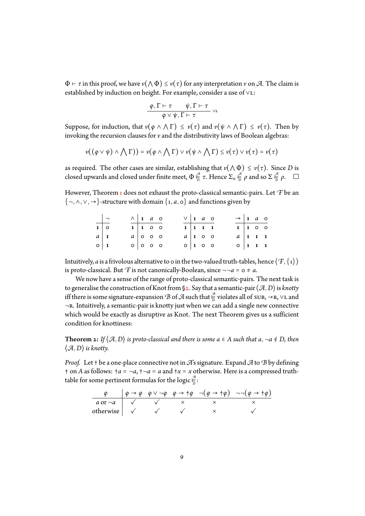$\Phi \vdash \tau$  in this proof, we have  $\nu(\wedge \Phi) \leq \nu(\tau)$  for any interpretation  $\nu$  on  $\mathcal{A}$ . The claim is established by induction on height. For example, consider a use of ∨L:

$$
\frac{\varphi, \Gamma \vdash \tau \qquad \psi, \Gamma \vdash \tau}{\varphi \vee \psi, \Gamma \vdash \tau} \vee \iota
$$

Suppose, for induction, that  $v(\varphi \wedge \wedge \Gamma) \leq v(\tau)$  and  $v(\psi \wedge \wedge \Gamma) \leq v(\tau)$ . Then by invoking the recursion clauses for*v* and the distributivity laws of Boolean algebras:

$$
\nu((\varphi \vee \psi) \wedge \bigwedge \Gamma)) = \nu(\varphi \wedge \bigwedge \Gamma) \vee \nu(\psi \wedge \bigwedge \Gamma) \leq \nu(\tau) \vee \nu(\tau) = \nu(\tau)
$$

as required. The other cases are similar, establishing that  $\nu(\wedge \Phi) \leq \nu(\tau)$ . Since *D* is closed upwards and closed under finite meet,  $\Phi \, \frac{A}{D}$  $\frac{a}{p}$  *τ*. Hence  $\Sigma_{\text{o}} \frac{a}{p}$  $\frac{a}{b}$   $\rho$  and so  $\Sigma \frac{a}{b}$ *D ρ*.

However, Theorem 1 does not exhaust the proto-classical semantic-pairs. Let *F* be an {¬*,*∧*,*∨*,* →}-structure with domain {1*, <sup>a</sup>,* <sup>0</sup>} and functions given by

|             |                       | $\wedge$ 1 a o           |  |  | $\vee$ 1 a o               |  | $\rightarrow$ 1 a o      |                 |  |
|-------------|-----------------------|--------------------------|--|--|----------------------------|--|--------------------------|-----------------|--|
|             | $\overline{1 \mid 0}$ | $1 \vert 1$ 0 0          |  |  | $1 \mid 1 \mid 1 \mid 1$   |  |                          | $1 \vert 1$ 0 0 |  |
| $a \mid 1$  |                       | $a \mid o \mid o \mid o$ |  |  | $a \mid 1$ 0 0             |  | $a \mid 1 \mid 1 \mid 1$ |                 |  |
| $\circ$   1 |                       | $0$ 0 0 0                |  |  | $0 \mid 1 \quad 0 \quad 0$ |  | $0 \mid 1 \mid 1 \mid 1$ |                 |  |

Intuitively, *a* is a frivolous alternative to 0 in the two-valued truth-tables, hence  $\langle f, \{1\} \rangle$ is proto-classical. But *F* is not canonically-Boolean, since  $\neg \neg a = o \neq a$ .

We now have a sense of the range of proto-classical semantic-pairs. The next task is to generalise the construction of Knot from §2. Say that a semantic-pair  $\langle A,D \rangle$  is *knotty* iff there is some signature-expansion  $\mathcal B$  of  $\overline{\mathcal A}$  such that  $\frac{\mathbb B}{\overline{D}}$  $\frac{a}{b}$  violates all of sub,  $\rightarrow$ R,  $\vee$ L and ¬r. Intuitively, a semantic-pair is knotty just when we can add a single new connective which would be exactly as disruptive as Kn[ot.](#page-1-1) The next Theorem gives us a sufficient condition for knottiness:

**Theorem 2:** If  $\langle A, D \rangle$  is proto-classical and there is some  $a \in A$  such that  $a, \neg a \notin D$ , then  $\langle A, D \rangle$  *is knotty.* 

<span id="page-8-0"></span>*Proof.* Let † be a one-place connective not in*A*'s signature. Expand*A*to *B* by defining  $\dagger$  on *A* as follows:  $\dagger a = \neg a$ ,  $\dagger \neg a = a$  and  $\dagger x = x$  otherwise. Here is a compressed truthtable for some pertinent formulas for the logic  $\frac{\mathcal{B}}{D}$  $\frac{p}{\overline{D}}$ :

$$
\begin{array}{c|ccccccccc}\n\varphi & \varphi \rightarrow \varphi & \varphi \lor \neg \varphi & \varphi \rightarrow +\varphi & \neg(\varphi \rightarrow +\varphi) & \neg \neg(\varphi \rightarrow +\varphi) \\
\hline\na \text{ or } \neg a & \checkmark & \checkmark & \times & \checkmark \\
\text{otherwise} & \checkmark & \checkmark & \checkmark & \checkmark\n\end{array}
$$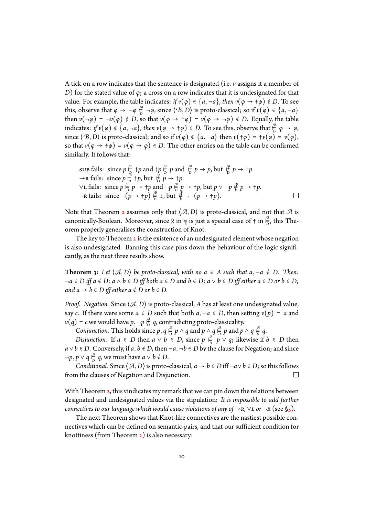A tick on a row indicates that the sentence is designated (i.e. *v* assigns it a member of *D*) for the stated value of *φ*; a cross on a row indicates that it is undesignated for that value. For example, the table indicates: *if*  $v(\varphi) \in \{a, \neg a\}$ , then  $v(\varphi \to \neg \varphi) \notin D$ . To see this, observe that  $\varphi \rightarrow \neg \varphi \stackrel{\mathcal{B}}{\models}$  $\frac{1}{2}$  →*φ*, since  $\langle B, D \rangle$  is proto-classical; so if *v*(*φ*) ∈ {*a,* →*a*} then  $\nu(\neg\varphi) = \neg\nu(\varphi) \notin D$ , so that  $\nu(\varphi \to \neg \varphi) = \nu(\varphi \to \neg \varphi) \notin D$ . Equally, the table indicates: *if*  $v(\varphi) \notin \{a, \neg a\}$ *, then*  $v(\varphi \to \tau \varphi) \in D$ . To see this, observe that  $\frac{B}{D}$  $\frac{p}{\overline{p}}$   $\varphi \rightarrow \varphi$ , since  $\langle B, D \rangle$  is proto-classical; and so if  $\nu(\varphi) \notin \{a, \neg a\}$  then  $\nu(\tau \varphi) = \tau \nu(\varphi) = \nu(\varphi)$ , so that  $v(\varphi \to +\varphi) = v(\varphi \to \varphi) \in D$ . The other entries on the table can be confirmed similarly. It follows that:

SUB fails: since 
$$
p \frac{\beta}{\beta} + p
$$
 and  $\frac{p}{\beta} \frac{\beta}{p}$   $p$  and  $\frac{\beta}{\beta} p \rightarrow p$ , but  $\frac{\beta}{\beta} p \rightarrow \frac{p}{\beta}$ .  
\n $\rightarrow R$  fails: since  $p \frac{\beta}{\beta} + p$ , but  $\frac{\beta}{\beta} p \rightarrow \frac{p}{\beta}$ .  
\n $\lor$  L fails: since  $p \frac{\beta}{\beta} p \rightarrow \frac{p}{\beta} p \rightarrow \frac{p}{\beta} p \rightarrow \frac{p}{\beta} p \rightarrow \frac{p}{\beta} p \rightarrow \frac{p}{\beta} p \rightarrow \frac{p}{\beta} p \rightarrow \frac{p}{\beta} p \rightarrow \frac{p}{\beta} p \rightarrow \frac{p}{\beta} p \rightarrow \frac{p}{\beta} p \rightarrow \frac{p}{\beta} p \rightarrow \frac{p}{\beta} p \rightarrow \frac{p}{\beta} p \rightarrow \frac{p}{\beta} p \rightarrow \frac{p}{\beta} p \rightarrow \frac{p}{\beta} p \rightarrow \frac{p}{\beta} p \rightarrow \frac{p}{\beta} p \rightarrow \frac{p}{\beta} p \rightarrow \frac{p}{\beta} p \rightarrow \frac{p}{\beta} p \rightarrow \frac{p}{\beta} p \rightarrow \frac{p}{\beta} p \rightarrow \frac{p}{\beta} p \rightarrow \frac{p}{\beta} p \rightarrow \frac{p}{\beta} p \rightarrow \frac{p}{\beta} p \rightarrow \frac{p}{\beta} p \rightarrow \frac{p}{\beta} p \rightarrow \frac{p}{\beta} p \rightarrow \frac{p}{\beta} p \rightarrow \frac{p}{\beta} p \rightarrow \frac{p}{\beta} p \rightarrow \frac{p}{\beta} p \rightarrow \frac{p}{\beta} p \rightarrow \frac{p}{\beta} p \rightarrow \frac{p}{\beta} p \rightarrow \frac{p}{\beta} p \rightarrow \frac{p}{\beta} p \rightarrow \frac{p}{\beta} p \rightarrow \frac{p}{\beta} p \rightarrow \frac{p}{\beta} p \rightarrow \frac{p}{\beta} p \rightarrow \frac{p}{\beta} p \rightarrow \frac{p}{\beta} p \rightarrow \frac{p}{\beta} p \rightarrow \frac{p}{\beta} p \rightarrow \frac{p}{\beta} p \rightarrow \frac{p}{\beta} p \rightarrow \frac{p}{\beta} p \rightarrow \frac{p}{\beta} p \rightarrow \frac{p}{\beta} p \rightarrow \frac{p}{\beta} p \rightarrow \frac{p}{\beta} p \$ 

Note that Theorem 2 assumes only that  $\langle A, D \rangle$  is proto-classical, and not that  $\mathcal A$  is canonically-Boolean. Moreover, since  $\frac{1}{\sqrt{2}}$  is just a special case of  $+$  in  $\frac{1}{\sqrt{2}}$  $\frac{2}{D}$ , this Theorem properly generalises the construction of Knot.

The key to Theo[re](#page-8-0)m  $2$  is the existence of an undesignated element whose negation is also undesignated. Banning this case pins down the behaviour of the logic significantly, as the next three results show.

**Theorem 3:** Let  $\langle A, D \rangle$  [b](#page-8-0)e proto-classical, with no  $a \in A$  such that  $a, \neg a \notin D$ . Then: <sup>¬</sup>*<sup>a</sup>* <sup>∈</sup> *D iff a* <sup>∉</sup> *D; a* <sup>∧</sup> *<sup>b</sup>* <sup>∈</sup> *D iff both a* <sup>∈</sup> *D and b* <sup>∈</sup> *D; a* <sup>∨</sup> *<sup>b</sup>* <sup>∈</sup> *D iff either a* <sup>∈</sup> *D or b* <sup>∈</sup> *D; and*  $a$  →  $b$  ∈  $D$  *iff either*  $a ∉ D$  *or*  $b ∈ D$ *.* 

<span id="page-9-0"></span>*Proof. Negation.* Since  $\langle A, D \rangle$  is proto-classical, *A* has at least one undesignated value, say *c*. If there were some  $a \in D$  such that both  $a, \neg a \in D$ , then setting  $v(p) = a$  and  $\nu(q) = c$  we would have  $p, \neg p \notin B$  $\notin q$ , contradicting proto-classicality.

*Conjunction.* This holds since  $p, q \stackrel{\mathcal{A}}{\underset{D}{\rightleftarrows}}$  $\frac{a}{\overline{p}}$  *p*  $\wedge$  *q* and *p*  $\wedge$  *q*  $\frac{a}{\overline{p}}$  $\frac{a}{\overline{D}}$  *p* and *p* ∧ *q*  $\frac{a}{\overline{D}}$  $\frac{a}{b}$  q.

*Disjunction.* If  $a \in D$  then  $a \vee b \in D$ , since  $p \stackrel{a}{\not{p}}$  $\frac{a}{b}$  *p* ∨ *q*; likewise if *b* ∈ *D* then *a*∨*b* ∈ *D*. Conversely, if *a*, *b* ∉ *D*, then  $\neg a, \neg b \in D$  by the clause for Negation; and since  $\neg p, p \lor q \overset{\mathcal{A}}{\underset{D}{\models}}$  $\frac{a}{b}$  *q*, we must have *a* ∨ *b*  $\notin$  *D*.

*Conditional.* Since  $\langle A, D \rangle$  is proto-classical,  $a \to b \in D$  iff  $\neg a \lor b \in D$ ; so this follows in the clauses of Negation and Disiunction. from the clauses of Negation and Disjunction.

With Theorem 2, this vindicates my remark that we can pin down the relations between designated and undesignated values via the stipulation: *It is impossible to add further connectives to our language which would cause violations of any of*  $\rightarrow$ *r,*  $\vee$ *l or*  $\neg$ *r* (see §5).

The next T[h](#page-8-0)eorem shows that Knot-like connectives are the nastiest possible connectives which can be defined on semantic-pairs, and that our sufficient condition for knottiness (from Theorem  $2$ ) is also necessary: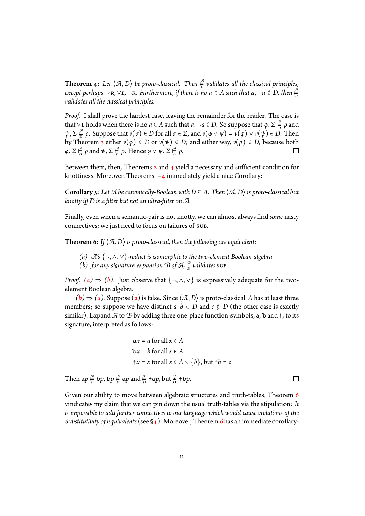Theorem 4: Let  $\langle A, D \rangle$  be proto-classical. Then  $\frac{A}{D}$ *D validates all the classical principles, except perhaps* →*r,* ∨*l,* ¬*r. Furthermore, if there is no a* ∈ *A such that a,* ¬*a* ∉ *D, then*  $\frac{a}{b}$ *D validates all the classical principles.*

<span id="page-10-1"></span>*Proof.* I shall prove the hardest case, leaving the remainder for the reader. The case is that ∨L holds when there is no  $a \in A$  such that  $a, \neg a \notin D$ . So suppose that  $\varphi, \Sigma \frac{a}{b}$  $\frac{a}{D}$   $\rho$  and  $\psi$ ,  $\Sigma$   $\frac{a}{b}$ *D z P*. Suppose that *v*(*σ*) ∈ *D* for all *σ* ∈ Σ, and *v*(*φ* ∨ *ψ*) = *v*(*φ*) ∨ *v*(*ψ*) ∈ *D*. Then by Theorem 3 either  $v(\varphi) \in D$  or  $v(\psi) \in D$ ; and either way,  $v(\rho) \in D$ , because both  $\varphi$ ,  $\Sigma \stackrel{\mathscr{B}}{\models} \rho$  and  $\psi$ ,  $\Sigma \stackrel{\mathscr{B}}{\models} \rho$ . Hence  $\varphi \vee \psi$ ,  $\Sigma \stackrel{\mathscr{B}}{\models} \rho$ .  $\varphi$ , Σ $\frac{a}{b}$  $\frac{a}{b}$   $\rho$  and  $\psi$ ,  $\Sigma \frac{a}{b}$  $\frac{a}{\overline{D}}$  *ρ*. Hence *φ* ∨  $\psi$ , Σ  $\frac{a}{\overline{D}}$ *D ρ*.

Between them, then, Theorems  $2$  and  $4$  yield a necessary and sufficient condition for knottiness. [Mo](#page-9-0)reover, Theorems  $1-4$  immediately yield a nice Corollary:

**Corollary 5:** Let  $\mathcal A$  be canonically-Boolean with  $D \subseteq A$ . Then  $\langle \mathcal A, D \rangle$  is proto-classical but *knotty iff D is a filter but not an ul[tr](#page-8-0)[a](#page-7-0)[-fi](#page-10-1)lt[er](#page-10-1) on A.*

Finally, even when a semantic-pair is not knotty, we can almost always find *some* nasty connectives; we just need to focus on failures of sub.

**Theorem 6:** If  $\langle A, D \rangle$  *is proto-classical, then the following are equivalent:* 

- *(a) A's* {¬*,*∧*,*∨}*-reduct is isomorphic to the two-element Boolean algebra*
- (*b*) for any signature-expansion  $B$  of  $\mathcal{A}$ ,  $\frac{B}{D}$  $\frac{2}{D}$  validates sub

<span id="page-10-2"></span><span id="page-10-0"></span>*Proof.* (a)  $\Rightarrow$  (b). Just observe that {¬,  $\land$ ,  $\lor$ } is expressively adequate for the twoelement Boolean algebra.

<span id="page-10-3"></span> $(b) \Rightarrow (a)$ . Suppose (a) is false. Since  $\langle A, D \rangle$  is proto-classical, *A* has at least three membe[rs](#page-10-2); so s[up](#page-10-3)pose we have distinct  $a, b \in D$  and  $c \notin D$  (the other case is exactly similar). Expand  $\mathcal A$  to  $\mathcal B$  by adding three one-place function-symbols, a, b and  $\dagger$ , to its sign[atu](#page-10-3)re, i[nte](#page-10-2)rpreted asf[ol](#page-10-2)lows:

$$
ax = a for all x \in A
$$
  
bx = b for all x \in A  

$$
+x = x for all x \in A \setminus \{b\}, but +b = c
$$

Then a $p \frac{B}{D}$  $\frac{a}{\overline{D}}$  b*p*, b*p*  $\frac{a}{\overline{D}}$  $\frac{a}{\overline{D}}$  ap and  $\frac{a}{\overline{D}}$  $\frac{a}{b}$  +a*p*, but  $\frac{a}{b}$ *D* †b*p*.

Given our ability to move between algebraic structures and truth-tables, Theorem 6 vindicates my claim that we can pin down the usual truth-tables via the stipulation: *It is impossible to add further connectives to our language which would cause violations of the Substitutivity of Equivalents* (see §4). Moreover, Theorem 6 has an immediate corollar[y:](#page-10-0)

 $\Box$